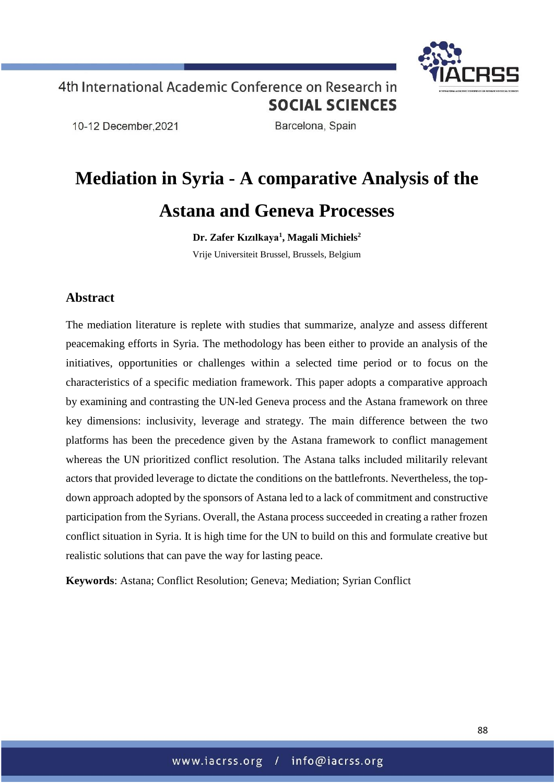

10-12 December.2021

Barcelona, Spain

# **Mediation in Syria - A comparative Analysis of the Astana and Geneva Processes**

**Dr. Zafer Kızılkaya<sup>1</sup> , Magali Michiels<sup>2</sup>** Vrije Universiteit Brussel, Brussels, Belgium

### **Abstract**

The mediation literature is replete with studies that summarize, analyze and assess different peacemaking efforts in Syria. The methodology has been either to provide an analysis of the initiatives, opportunities or challenges within a selected time period or to focus on the characteristics of a specific mediation framework. This paper adopts a comparative approach by examining and contrasting the UN-led Geneva process and the Astana framework on three key dimensions: inclusivity, leverage and strategy. The main difference between the two platforms has been the precedence given by the Astana framework to conflict management whereas the UN prioritized conflict resolution. The Astana talks included militarily relevant actors that provided leverage to dictate the conditions on the battlefronts. Nevertheless, the topdown approach adopted by the sponsors of Astana led to a lack of commitment and constructive participation from the Syrians. Overall, the Astana process succeeded in creating a rather frozen conflict situation in Syria. It is high time for the UN to build on this and formulate creative but realistic solutions that can pave the way for lasting peace.

**Keywords**: Astana; Conflict Resolution; Geneva; Mediation; Syrian Conflict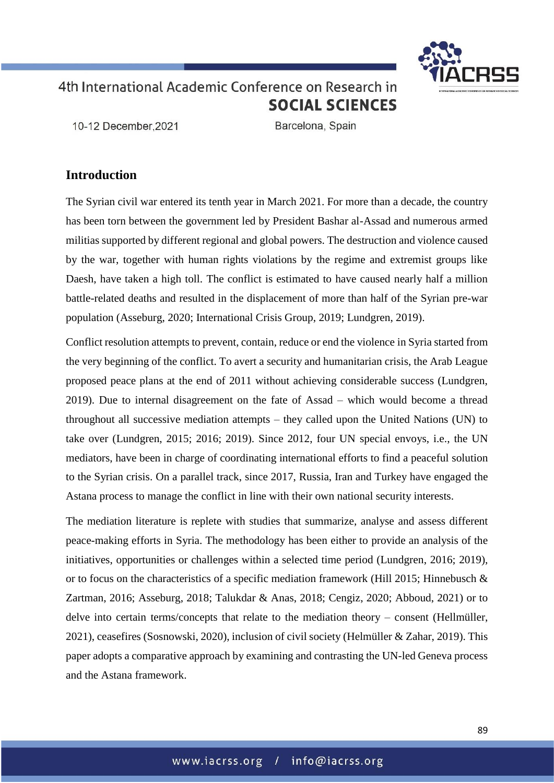

10-12 December.2021

Barcelona, Spain

### **Introduction**

The Syrian civil war entered its tenth year in March 2021. For more than a decade, the country has been torn between the government led by President Bashar al-Assad and numerous armed militias supported by different regional and global powers. The destruction and violence caused by the war, together with human rights violations by the regime and extremist groups like Daesh, have taken a high toll. The conflict is estimated to have caused nearly half a million battle-related deaths and resulted in the displacement of more than half of the Syrian pre-war population (Asseburg, 2020; International Crisis Group, 2019; Lundgren, 2019).

Conflict resolution attempts to prevent, contain, reduce or end the violence in Syria started from the very beginning of the conflict. To avert a security and humanitarian crisis, the Arab League proposed peace plans at the end of 2011 without achieving considerable success (Lundgren, 2019). Due to internal disagreement on the fate of Assad – which would become a thread throughout all successive mediation attempts – they called upon the United Nations (UN) to take over (Lundgren, 2015; 2016; 2019). Since 2012, four UN special envoys, i.e., the UN mediators, have been in charge of coordinating international efforts to find a peaceful solution to the Syrian crisis. On a parallel track, since 2017, Russia, Iran and Turkey have engaged the Astana process to manage the conflict in line with their own national security interests.

The mediation literature is replete with studies that summarize, analyse and assess different peace-making efforts in Syria. The methodology has been either to provide an analysis of the initiatives, opportunities or challenges within a selected time period (Lundgren, 2016; 2019), or to focus on the characteristics of a specific mediation framework (Hill 2015; Hinnebusch  $\&$ Zartman, 2016; Asseburg, 2018; Talukdar & Anas, 2018; Cengiz, 2020; Abboud, 2021) or to delve into certain terms/concepts that relate to the mediation theory – consent (Hellmüller, 2021), ceasefires (Sosnowski, 2020), inclusion of civil society (Helmüller & Zahar, 2019). This paper adopts a comparative approach by examining and contrasting the UN-led Geneva process and the Astana framework.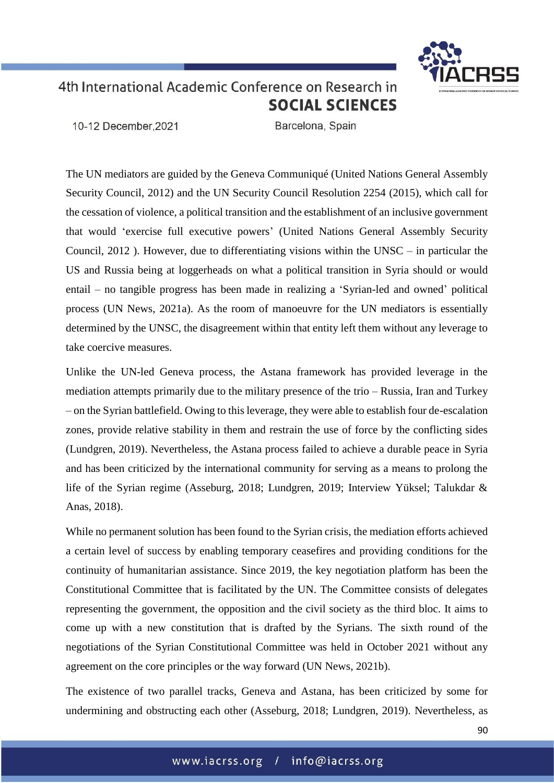10-12 December.2021

Barcelona, Spain

The UN mediators are guided by the Geneva Communiqué (United Nations General Assembly Security Council, 2012) and the UN Security Council Resolution 2254 (2015), which call for the cessation of violence, a political transition and the establishment of an inclusive government that would 'exercise full executive powers' (United Nations General Assembly Security Council, 2012 ). However, due to differentiating visions within the UNSC – in particular the US and Russia being at loggerheads on what a political transition in Syria should or would entail – no tangible progress has been made in realizing a 'Syrian-led and owned' political process (UN News, 2021a). As the room of manoeuvre for the UN mediators is essentially determined by the UNSC, the disagreement within that entity left them without any leverage to take coercive measures.

Unlike the UN-led Geneva process, the Astana framework has provided leverage in the mediation attempts primarily due to the military presence of the trio – Russia, Iran and Turkey – on the Syrian battlefield. Owing to this leverage, they were able to establish four de-escalation zones, provide relative stability in them and restrain the use of force by the conflicting sides (Lundgren, 2019). Nevertheless, the Astana process failed to achieve a durable peace in Syria and has been criticized by the international community for serving as a means to prolong the life of the Syrian regime (Asseburg, 2018; Lundgren, 2019; Interview Yüksel; Talukdar & Anas, 2018).

While no permanent solution has been found to the Syrian crisis, the mediation efforts achieved a certain level of success by enabling temporary ceasefires and providing conditions for the continuity of humanitarian assistance. Since 2019, the key negotiation platform has been the Constitutional Committee that is facilitated by the UN. The Committee consists of delegates representing the government, the opposition and the civil society as the third bloc. It aims to come up with a new constitution that is drafted by the Syrians. The sixth round of the negotiations of the Syrian Constitutional Committee was held in October 2021 without any agreement on the core principles or the way forward (UN News, 2021b).

The existence of two parallel tracks, Geneva and Astana, has been criticized by some for undermining and obstructing each other (Asseburg, 2018; Lundgren, 2019). Nevertheless, as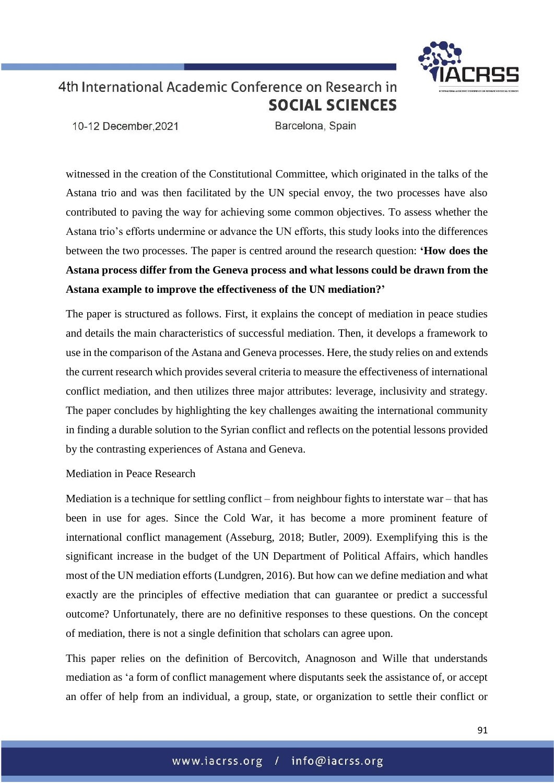10-12 December.2021

Barcelona, Spain

witnessed in the creation of the Constitutional Committee, which originated in the talks of the Astana trio and was then facilitated by the UN special envoy, the two processes have also contributed to paving the way for achieving some common objectives. To assess whether the Astana trio's efforts undermine or advance the UN efforts, this study looks into the differences between the two processes. The paper is centred around the research question: **'How does the Astana process differ from the Geneva process and what lessons could be drawn from the Astana example to improve the effectiveness of the UN mediation?'**

The paper is structured as follows. First, it explains the concept of mediation in peace studies and details the main characteristics of successful mediation. Then, it develops a framework to use in the comparison of the Astana and Geneva processes. Here, the study relies on and extends the current research which provides several criteria to measure the effectiveness of international conflict mediation, and then utilizes three major attributes: leverage, inclusivity and strategy. The paper concludes by highlighting the key challenges awaiting the international community in finding a durable solution to the Syrian conflict and reflects on the potential lessons provided by the contrasting experiences of Astana and Geneva.

Mediation in Peace Research

Mediation is a technique for settling conflict – from neighbour fights to interstate war – that has been in use for ages. Since the Cold War, it has become a more prominent feature of international conflict management (Asseburg, 2018; Butler, 2009). Exemplifying this is the significant increase in the budget of the UN Department of Political Affairs, which handles most of the UN mediation efforts (Lundgren, 2016). But how can we define mediation and what exactly are the principles of effective mediation that can guarantee or predict a successful outcome? Unfortunately, there are no definitive responses to these questions. On the concept of mediation, there is not a single definition that scholars can agree upon.

This paper relies on the definition of Bercovitch, Anagnoson and Wille that understands mediation as 'a form of conflict management where disputants seek the assistance of, or accept an offer of help from an individual, a group, state, or organization to settle their conflict or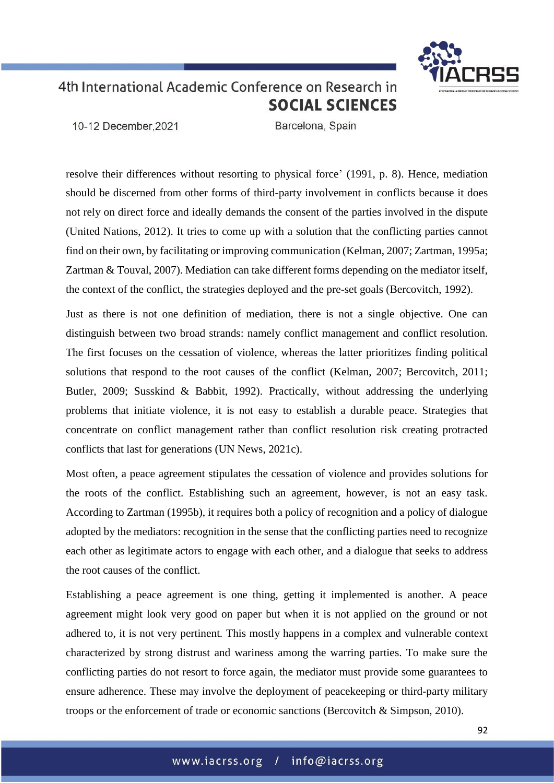

10-12 December.2021

Barcelona, Spain

resolve their differences without resorting to physical force' (1991, p. 8). Hence, mediation should be discerned from other forms of third-party involvement in conflicts because it does not rely on direct force and ideally demands the consent of the parties involved in the dispute (United Nations, 2012). It tries to come up with a solution that the conflicting parties cannot find on their own, by facilitating or improving communication (Kelman, 2007; Zartman, 1995a; Zartman & Touval, 2007). Mediation can take different forms depending on the mediator itself, the context of the conflict, the strategies deployed and the pre-set goals (Bercovitch, 1992).

Just as there is not one definition of mediation, there is not a single objective. One can distinguish between two broad strands: namely conflict management and conflict resolution. The first focuses on the cessation of violence, whereas the latter prioritizes finding political solutions that respond to the root causes of the conflict (Kelman, 2007; Bercovitch, 2011; Butler, 2009; Susskind & Babbit, 1992). Practically, without addressing the underlying problems that initiate violence, it is not easy to establish a durable peace. Strategies that concentrate on conflict management rather than conflict resolution risk creating protracted conflicts that last for generations (UN News, 2021c).

Most often, a peace agreement stipulates the cessation of violence and provides solutions for the roots of the conflict. Establishing such an agreement, however, is not an easy task. According to Zartman (1995b), it requires both a policy of recognition and a policy of dialogue adopted by the mediators: recognition in the sense that the conflicting parties need to recognize each other as legitimate actors to engage with each other, and a dialogue that seeks to address the root causes of the conflict.

Establishing a peace agreement is one thing, getting it implemented is another. A peace agreement might look very good on paper but when it is not applied on the ground or not adhered to, it is not very pertinent*.* This mostly happens in a complex and vulnerable context characterized by strong distrust and wariness among the warring parties. To make sure the conflicting parties do not resort to force again, the mediator must provide some guarantees to ensure adherence. These may involve the deployment of peacekeeping or third-party military troops or the enforcement of trade or economic sanctions (Bercovitch & Simpson, 2010).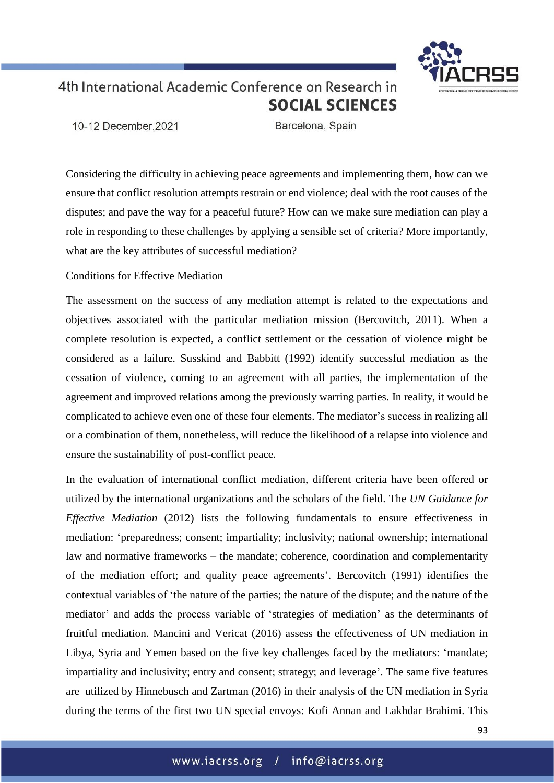

10-12 December.2021

Barcelona, Spain

Considering the difficulty in achieving peace agreements and implementing them, how can we ensure that conflict resolution attempts restrain or end violence; deal with the root causes of the disputes; and pave the way for a peaceful future? How can we make sure mediation can play a role in responding to these challenges by applying a sensible set of criteria? More importantly, what are the key attributes of successful mediation?

Conditions for Effective Mediation

The assessment on the success of any mediation attempt is related to the expectations and objectives associated with the particular mediation mission (Bercovitch, 2011). When a complete resolution is expected, a conflict settlement or the cessation of violence might be considered as a failure. Susskind and Babbitt (1992) identify successful mediation as the cessation of violence, coming to an agreement with all parties, the implementation of the agreement and improved relations among the previously warring parties. In reality, it would be complicated to achieve even one of these four elements. The mediator's success in realizing all or a combination of them, nonetheless, will reduce the likelihood of a relapse into violence and ensure the sustainability of post-conflict peace.

In the evaluation of international conflict mediation, different criteria have been offered or utilized by the international organizations and the scholars of the field. The *UN Guidance for Effective Mediation* (2012) lists the following fundamentals to ensure effectiveness in mediation: 'preparedness; consent; impartiality; inclusivity; national ownership; international law and normative frameworks – the mandate; coherence, coordination and complementarity of the mediation effort; and quality peace agreements'. Bercovitch (1991) identifies the contextual variables of 'the nature of the parties; the nature of the dispute; and the nature of the mediator' and adds the process variable of 'strategies of mediation' as the determinants of fruitful mediation. Mancini and Vericat (2016) assess the effectiveness of UN mediation in Libya, Syria and Yemen based on the five key challenges faced by the mediators: 'mandate; impartiality and inclusivity; entry and consent; strategy; and leverage'. The same five features are utilized by Hinnebusch and Zartman (2016) in their analysis of the UN mediation in Syria during the terms of the first two UN special envoys: Kofi Annan and Lakhdar Brahimi. This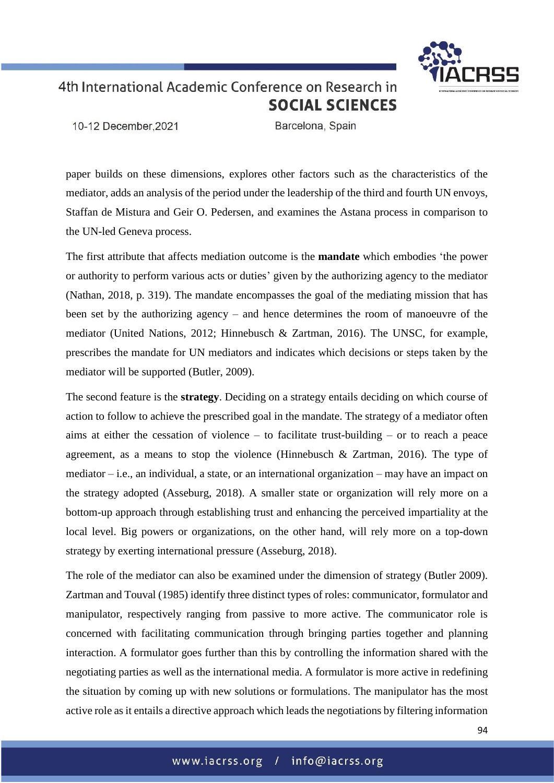

10-12 December.2021

Barcelona, Spain

paper builds on these dimensions, explores other factors such as the characteristics of the mediator, adds an analysis of the period under the leadership of the third and fourth UN envoys, Staffan de Mistura and Geir O. Pedersen, and examines the Astana process in comparison to the UN-led Geneva process.

The first attribute that affects mediation outcome is the **mandate** which embodies 'the power or authority to perform various acts or duties' given by the authorizing agency to the mediator (Nathan, 2018, p. 319). The mandate encompasses the goal of the mediating mission that has been set by the authorizing agency – and hence determines the room of manoeuvre of the mediator (United Nations, 2012; Hinnebusch & Zartman, 2016). The UNSC, for example, prescribes the mandate for UN mediators and indicates which decisions or steps taken by the mediator will be supported (Butler, 2009).

The second feature is the **strategy**. Deciding on a strategy entails deciding on which course of action to follow to achieve the prescribed goal in the mandate. The strategy of a mediator often aims at either the cessation of violence – to facilitate trust-building – or to reach a peace agreement, as a means to stop the violence (Hinnebusch & Zartman, 2016). The type of mediator – i.e., an individual, a state, or an international organization – may have an impact on the strategy adopted (Asseburg, 2018). A smaller state or organization will rely more on a bottom-up approach through establishing trust and enhancing the perceived impartiality at the local level. Big powers or organizations, on the other hand, will rely more on a top-down strategy by exerting international pressure (Asseburg, 2018).

The role of the mediator can also be examined under the dimension of strategy (Butler 2009). Zartman and Touval (1985) identify three distinct types of roles: communicator, formulator and manipulator, respectively ranging from passive to more active. The communicator role is concerned with facilitating communication through bringing parties together and planning interaction. A formulator goes further than this by controlling the information shared with the negotiating parties as well as the international media. A formulator is more active in redefining the situation by coming up with new solutions or formulations. The manipulator has the most active role as it entails a directive approach which leads the negotiations by filtering information

94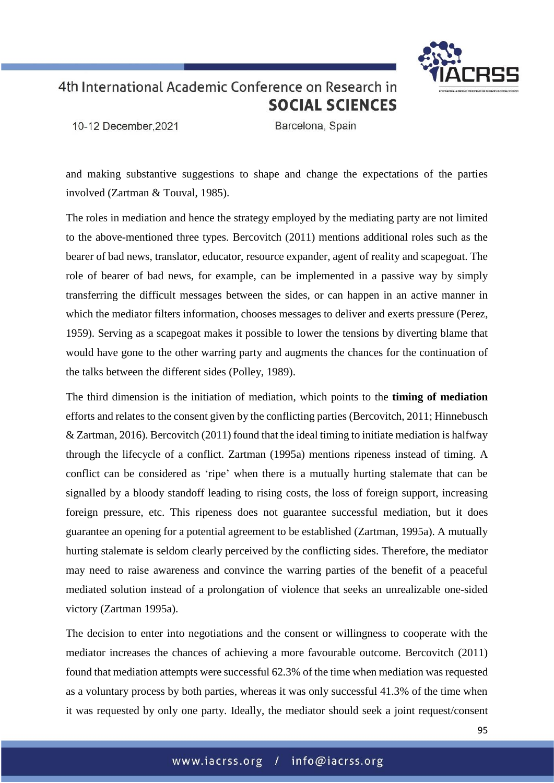10-12 December.2021

Barcelona, Spain

and making substantive suggestions to shape and change the expectations of the parties involved (Zartman & Touval, 1985).

The roles in mediation and hence the strategy employed by the mediating party are not limited to the above-mentioned three types. Bercovitch (2011) mentions additional roles such as the bearer of bad news, translator, educator, resource expander, agent of reality and scapegoat. The role of bearer of bad news, for example, can be implemented in a passive way by simply transferring the difficult messages between the sides, or can happen in an active manner in which the mediator filters information, chooses messages to deliver and exerts pressure (Perez, 1959). Serving as a scapegoat makes it possible to lower the tensions by diverting blame that would have gone to the other warring party and augments the chances for the continuation of the talks between the different sides (Polley, 1989).

The third dimension is the initiation of mediation, which points to the **timing of mediation** efforts and relates to the consent given by the conflicting parties (Bercovitch, 2011; Hinnebusch & Zartman, 2016). Bercovitch (2011) found that the ideal timing to initiate mediation is halfway through the lifecycle of a conflict. Zartman (1995a) mentions ripeness instead of timing. A conflict can be considered as 'ripe' when there is a mutually hurting stalemate that can be signalled by a bloody standoff leading to rising costs, the loss of foreign support, increasing foreign pressure, etc. This ripeness does not guarantee successful mediation, but it does guarantee an opening for a potential agreement to be established (Zartman, 1995a). A mutually hurting stalemate is seldom clearly perceived by the conflicting sides. Therefore, the mediator may need to raise awareness and convince the warring parties of the benefit of a peaceful mediated solution instead of a prolongation of violence that seeks an unrealizable one-sided victory (Zartman 1995a).

The decision to enter into negotiations and the consent or willingness to cooperate with the mediator increases the chances of achieving a more favourable outcome. Bercovitch (2011) found that mediation attempts were successful 62.3% of the time when mediation was requested as a voluntary process by both parties, whereas it was only successful 41.3% of the time when it was requested by only one party. Ideally, the mediator should seek a joint request/consent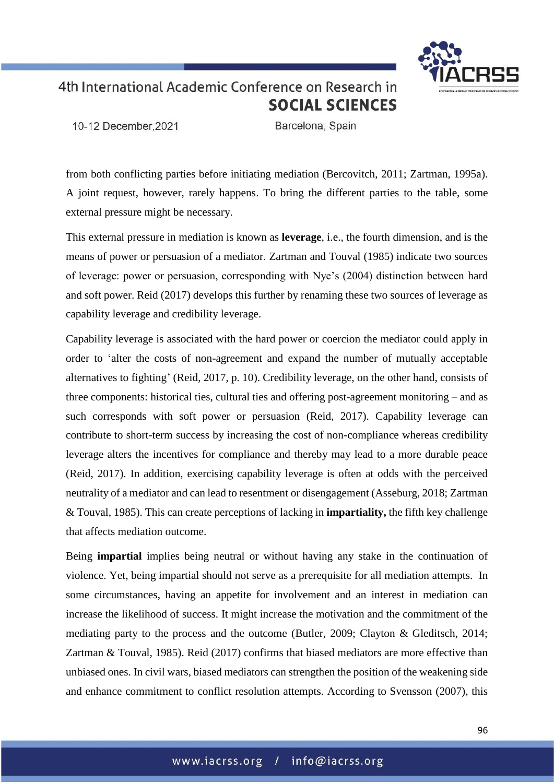

10-12 December.2021

Barcelona, Spain

from both conflicting parties before initiating mediation (Bercovitch, 2011; Zartman, 1995a). A joint request, however, rarely happens. To bring the different parties to the table, some external pressure might be necessary.

This external pressure in mediation is known as **leverage**, i.e., the fourth dimension, and is the means of power or persuasion of a mediator. Zartman and Touval (1985) indicate two sources of leverage: power or persuasion, corresponding with Nye's (2004) distinction between hard and soft power. Reid (2017) develops this further by renaming these two sources of leverage as capability leverage and credibility leverage.

Capability leverage is associated with the hard power or coercion the mediator could apply in order to 'alter the costs of non-agreement and expand the number of mutually acceptable alternatives to fighting' (Reid, 2017, p. 10). Credibility leverage, on the other hand, consists of three components: historical ties, cultural ties and offering post-agreement monitoring – and as such corresponds with soft power or persuasion (Reid, 2017). Capability leverage can contribute to short-term success by increasing the cost of non-compliance whereas credibility leverage alters the incentives for compliance and thereby may lead to a more durable peace (Reid, 2017). In addition, exercising capability leverage is often at odds with the perceived neutrality of a mediator and can lead to resentment or disengagement (Asseburg, 2018; Zartman & Touval, 1985). This can create perceptions of lacking in **impartiality,** the fifth key challenge that affects mediation outcome.

Being **impartial** implies being neutral or without having any stake in the continuation of violence. Yet, being impartial should not serve as a prerequisite for all mediation attempts. In some circumstances, having an appetite for involvement and an interest in mediation can increase the likelihood of success. It might increase the motivation and the commitment of the mediating party to the process and the outcome (Butler, 2009; Clayton & Gleditsch, 2014; Zartman & Touval, 1985). Reid (2017) confirms that biased mediators are more effective than unbiased ones. In civil wars, biased mediators can strengthen the position of the weakening side and enhance commitment to conflict resolution attempts. According to Svensson (2007), this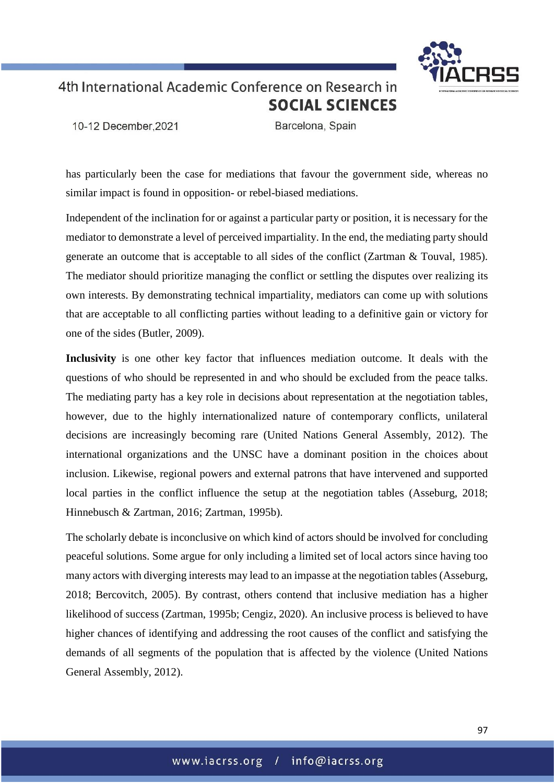

10-12 December.2021

Barcelona, Spain

has particularly been the case for mediations that favour the government side, whereas no similar impact is found in opposition- or rebel-biased mediations.

Independent of the inclination for or against a particular party or position, it is necessary for the mediator to demonstrate a level of perceived impartiality. In the end, the mediating party should generate an outcome that is acceptable to all sides of the conflict (Zartman & Touval, 1985). The mediator should prioritize managing the conflict or settling the disputes over realizing its own interests. By demonstrating technical impartiality, mediators can come up with solutions that are acceptable to all conflicting parties without leading to a definitive gain or victory for one of the sides (Butler, 2009).

**Inclusivity** is one other key factor that influences mediation outcome. It deals with the questions of who should be represented in and who should be excluded from the peace talks. The mediating party has a key role in decisions about representation at the negotiation tables, however, due to the highly internationalized nature of contemporary conflicts, unilateral decisions are increasingly becoming rare (United Nations General Assembly, 2012). The international organizations and the UNSC have a dominant position in the choices about inclusion. Likewise, regional powers and external patrons that have intervened and supported local parties in the conflict influence the setup at the negotiation tables (Asseburg, 2018; Hinnebusch & Zartman, 2016; Zartman, 1995b).

The scholarly debate is inconclusive on which kind of actors should be involved for concluding peaceful solutions. Some argue for only including a limited set of local actors since having too many actors with diverging interests may lead to an impasse at the negotiation tables (Asseburg, 2018; Bercovitch, 2005). By contrast, others contend that inclusive mediation has a higher likelihood of success (Zartman, 1995b; Cengiz, 2020). An inclusive process is believed to have higher chances of identifying and addressing the root causes of the conflict and satisfying the demands of all segments of the population that is affected by the violence (United Nations General Assembly, 2012).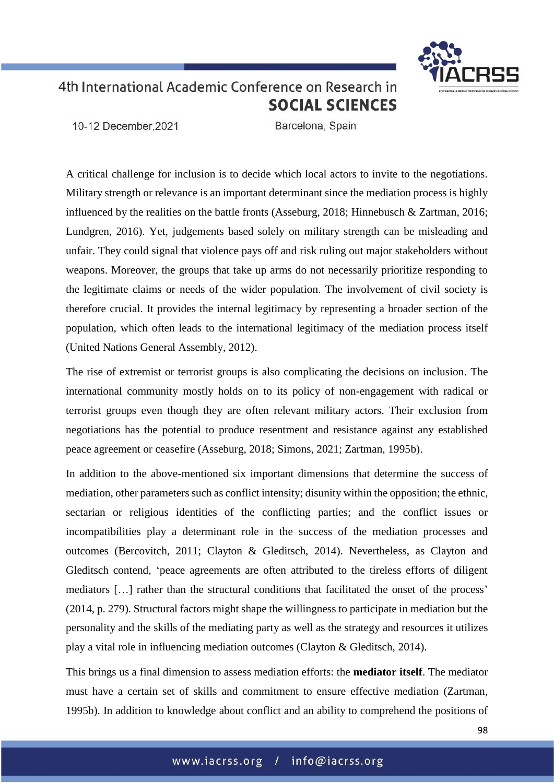10-12 December.2021

Barcelona, Spain

A critical challenge for inclusion is to decide which local actors to invite to the negotiations. Military strength or relevance is an important determinant since the mediation process is highly influenced by the realities on the battle fronts (Asseburg, 2018; Hinnebusch & Zartman, 2016; Lundgren, 2016). Yet, judgements based solely on military strength can be misleading and unfair. They could signal that violence pays off and risk ruling out major stakeholders without weapons. Moreover, the groups that take up arms do not necessarily prioritize responding to the legitimate claims or needs of the wider population. The involvement of civil society is therefore crucial. It provides the internal legitimacy by representing a broader section of the population, which often leads to the international legitimacy of the mediation process itself (United Nations General Assembly, 2012).

The rise of extremist or terrorist groups is also complicating the decisions on inclusion. The international community mostly holds on to its policy of non-engagement with radical or terrorist groups even though they are often relevant military actors. Their exclusion from negotiations has the potential to produce resentment and resistance against any established peace agreement or ceasefire (Asseburg, 2018; Simons, 2021; Zartman, 1995b).

In addition to the above-mentioned six important dimensions that determine the success of mediation, other parameters such as conflict intensity; disunity within the opposition; the ethnic, sectarian or religious identities of the conflicting parties; and the conflict issues or incompatibilities play a determinant role in the success of the mediation processes and outcomes (Bercovitch, 2011; Clayton & Gleditsch, 2014). Nevertheless, as Clayton and Gleditsch contend, 'peace agreements are often attributed to the tireless efforts of diligent mediators […] rather than the structural conditions that facilitated the onset of the process' (2014, p. 279). Structural factors might shape the willingness to participate in mediation but the personality and the skills of the mediating party as well as the strategy and resources it utilizes play a vital role in influencing mediation outcomes (Clayton & Gleditsch, 2014).

This brings us a final dimension to assess mediation efforts: the **mediator itself**. The mediator must have a certain set of skills and commitment to ensure effective mediation (Zartman, 1995b). In addition to knowledge about conflict and an ability to comprehend the positions of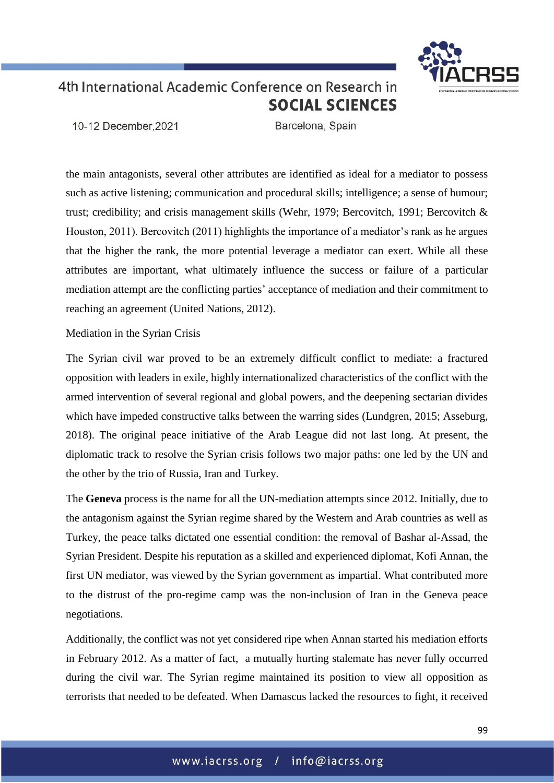10-12 December.2021

Barcelona, Spain

the main antagonists, several other attributes are identified as ideal for a mediator to possess such as active listening; communication and procedural skills; intelligence; a sense of humour; trust; credibility; and crisis management skills (Wehr, 1979; Bercovitch, 1991; Bercovitch & Houston, 2011). Bercovitch (2011) highlights the importance of a mediator's rank as he argues that the higher the rank, the more potential leverage a mediator can exert. While all these attributes are important, what ultimately influence the success or failure of a particular mediation attempt are the conflicting parties' acceptance of mediation and their commitment to reaching an agreement (United Nations, 2012).

### Mediation in the Syrian Crisis

The Syrian civil war proved to be an extremely difficult conflict to mediate: a fractured opposition with leaders in exile, highly internationalized characteristics of the conflict with the armed intervention of several regional and global powers, and the deepening sectarian divides which have impeded constructive talks between the warring sides (Lundgren, 2015; Asseburg, 2018). The original peace initiative of the Arab League did not last long. At present, the diplomatic track to resolve the Syrian crisis follows two major paths: one led by the UN and the other by the trio of Russia, Iran and Turkey.

The **Geneva** process is the name for all the UN-mediation attempts since 2012. Initially, due to the antagonism against the Syrian regime shared by the Western and Arab countries as well as Turkey, the peace talks dictated one essential condition: the removal of Bashar al-Assad, the Syrian President. Despite his reputation as a skilled and experienced diplomat, Kofi Annan, the first UN mediator, was viewed by the Syrian government as impartial. What contributed more to the distrust of the pro-regime camp was the non-inclusion of Iran in the Geneva peace negotiations.

Additionally, the conflict was not yet considered ripe when Annan started his mediation efforts in February 2012. As a matter of fact, a mutually hurting stalemate has never fully occurred during the civil war. The Syrian regime maintained its position to view all opposition as terrorists that needed to be defeated. When Damascus lacked the resources to fight, it received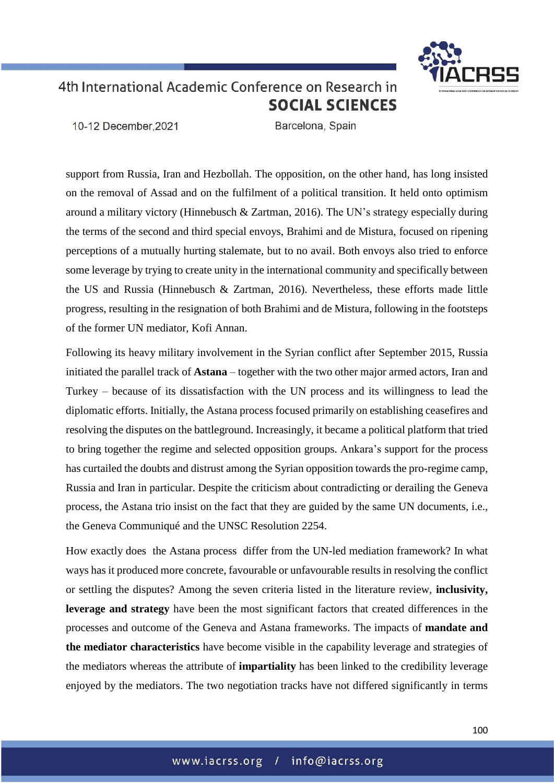10-12 December.2021

Barcelona, Spain

support from Russia, Iran and Hezbollah. The opposition, on the other hand, has long insisted on the removal of Assad and on the fulfilment of a political transition. It held onto optimism around a military victory (Hinnebusch & Zartman, 2016). The UN's strategy especially during the terms of the second and third special envoys, Brahimi and de Mistura, focused on ripening perceptions of a mutually hurting stalemate, but to no avail. Both envoys also tried to enforce some leverage by trying to create unity in the international community and specifically between the US and Russia (Hinnebusch & Zartman, 2016). Nevertheless, these efforts made little progress, resulting in the resignation of both Brahimi and de Mistura, following in the footsteps of the former UN mediator, Kofi Annan.

Following its heavy military involvement in the Syrian conflict after September 2015, Russia initiated the parallel track of **Astana** – together with the two other major armed actors, Iran and Turkey – because of its dissatisfaction with the UN process and its willingness to lead the diplomatic efforts. Initially, the Astana process focused primarily on establishing ceasefires and resolving the disputes on the battleground. Increasingly, it became a political platform that tried to bring together the regime and selected opposition groups. Ankara's support for the process has curtailed the doubts and distrust among the Syrian opposition towards the pro-regime camp, Russia and Iran in particular. Despite the criticism about contradicting or derailing the Geneva process, the Astana trio insist on the fact that they are guided by the same UN documents, i.e., the Geneva Communiqué and the UNSC Resolution 2254.

How exactly does the Astana process differ from the UN-led mediation framework? In what ways has it produced more concrete, favourable or unfavourable results in resolving the conflict or settling the disputes? Among the seven criteria listed in the literature review, **inclusivity, leverage and strategy** have been the most significant factors that created differences in the processes and outcome of the Geneva and Astana frameworks. The impacts of **mandate and the mediator characteristics** have become visible in the capability leverage and strategies of the mediators whereas the attribute of **impartiality** has been linked to the credibility leverage enjoyed by the mediators. The two negotiation tracks have not differed significantly in terms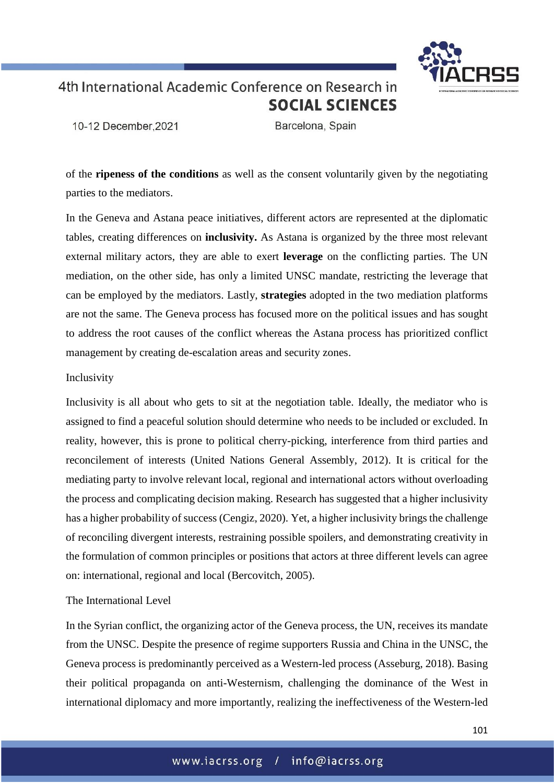

10-12 December.2021

Barcelona, Spain

of the **ripeness of the conditions** as well as the consent voluntarily given by the negotiating parties to the mediators.

In the Geneva and Astana peace initiatives, different actors are represented at the diplomatic tables, creating differences on **inclusivity.** As Astana is organized by the three most relevant external military actors, they are able to exert **leverage** on the conflicting parties. The UN mediation, on the other side, has only a limited UNSC mandate, restricting the leverage that can be employed by the mediators. Lastly, **strategies** adopted in the two mediation platforms are not the same. The Geneva process has focused more on the political issues and has sought to address the root causes of the conflict whereas the Astana process has prioritized conflict management by creating de-escalation areas and security zones.

### Inclusivity

Inclusivity is all about who gets to sit at the negotiation table. Ideally, the mediator who is assigned to find a peaceful solution should determine who needs to be included or excluded. In reality, however, this is prone to political cherry-picking, interference from third parties and reconcilement of interests (United Nations General Assembly, 2012). It is critical for the mediating party to involve relevant local, regional and international actors without overloading the process and complicating decision making. Research has suggested that a higher inclusivity has a higher probability of success (Cengiz, 2020). Yet, a higher inclusivity brings the challenge of reconciling divergent interests, restraining possible spoilers, and demonstrating creativity in the formulation of common principles or positions that actors at three different levels can agree on: international, regional and local (Bercovitch, 2005).

### The International Level

In the Syrian conflict, the organizing actor of the Geneva process, the UN, receives its mandate from the UNSC. Despite the presence of regime supporters Russia and China in the UNSC, the Geneva process is predominantly perceived as a Western-led process (Asseburg, 2018). Basing their political propaganda on anti-Westernism, challenging the dominance of the West in international diplomacy and more importantly, realizing the ineffectiveness of the Western-led

101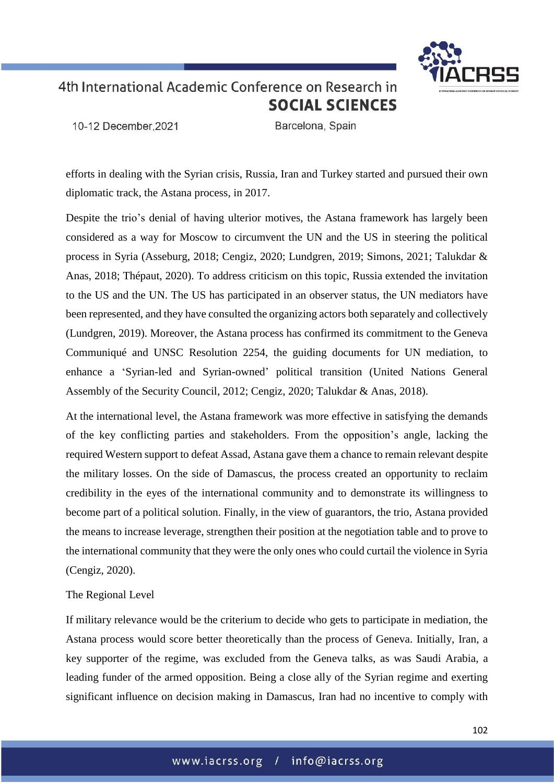

10-12 December.2021

Barcelona, Spain

efforts in dealing with the Syrian crisis, Russia, Iran and Turkey started and pursued their own diplomatic track, the Astana process, in 2017.

Despite the trio's denial of having ulterior motives, the Astana framework has largely been considered as a way for Moscow to circumvent the UN and the US in steering the political process in Syria (Asseburg, 2018; Cengiz, 2020; Lundgren, 2019; Simons, 2021; Talukdar & Anas, 2018; Thépaut, 2020). To address criticism on this topic, Russia extended the invitation to the US and the UN. The US has participated in an observer status, the UN mediators have been represented, and they have consulted the organizing actors both separately and collectively (Lundgren, 2019). Moreover, the Astana process has confirmed its commitment to the Geneva Communiqué and UNSC Resolution 2254, the guiding documents for UN mediation, to enhance a 'Syrian-led and Syrian-owned' political transition (United Nations General Assembly of the Security Council, 2012; Cengiz, 2020; Talukdar & Anas, 2018).

At the international level, the Astana framework was more effective in satisfying the demands of the key conflicting parties and stakeholders. From the opposition's angle, lacking the required Western support to defeat Assad, Astana gave them a chance to remain relevant despite the military losses. On the side of Damascus, the process created an opportunity to reclaim credibility in the eyes of the international community and to demonstrate its willingness to become part of a political solution. Finally, in the view of guarantors, the trio, Astana provided the means to increase leverage, strengthen their position at the negotiation table and to prove to the international community that they were the only ones who could curtail the violence in Syria (Cengiz, 2020).

### The Regional Level

If military relevance would be the criterium to decide who gets to participate in mediation, the Astana process would score better theoretically than the process of Geneva. Initially, Iran, a key supporter of the regime, was excluded from the Geneva talks, as was Saudi Arabia, a leading funder of the armed opposition. Being a close ally of the Syrian regime and exerting significant influence on decision making in Damascus, Iran had no incentive to comply with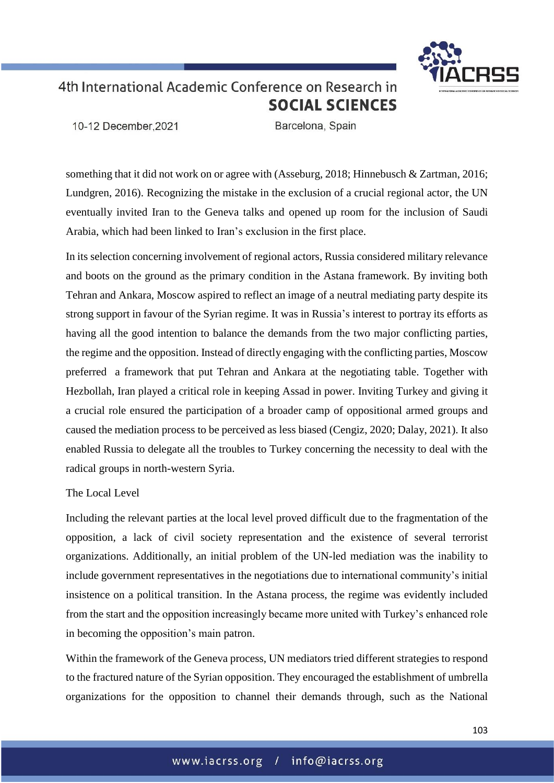10-12 December.2021

Barcelona, Spain

something that it did not work on or agree with (Asseburg, 2018; Hinnebusch & Zartman, 2016; Lundgren, 2016). Recognizing the mistake in the exclusion of a crucial regional actor, the UN eventually invited Iran to the Geneva talks and opened up room for the inclusion of Saudi Arabia, which had been linked to Iran's exclusion in the first place.

In its selection concerning involvement of regional actors, Russia considered military relevance and boots on the ground as the primary condition in the Astana framework. By inviting both Tehran and Ankara, Moscow aspired to reflect an image of a neutral mediating party despite its strong support in favour of the Syrian regime. It was in Russia's interest to portray its efforts as having all the good intention to balance the demands from the two major conflicting parties, the regime and the opposition. Instead of directly engaging with the conflicting parties, Moscow preferred a framework that put Tehran and Ankara at the negotiating table. Together with Hezbollah, Iran played a critical role in keeping Assad in power. Inviting Turkey and giving it a crucial role ensured the participation of a broader camp of oppositional armed groups and caused the mediation process to be perceived as less biased (Cengiz, 2020; Dalay, 2021). It also enabled Russia to delegate all the troubles to Turkey concerning the necessity to deal with the radical groups in north-western Syria.

### The Local Level

Including the relevant parties at the local level proved difficult due to the fragmentation of the opposition, a lack of civil society representation and the existence of several terrorist organizations. Additionally, an initial problem of the UN-led mediation was the inability to include government representatives in the negotiations due to international community's initial insistence on a political transition. In the Astana process, the regime was evidently included from the start and the opposition increasingly became more united with Turkey's enhanced role in becoming the opposition's main patron.

Within the framework of the Geneva process, UN mediators tried different strategies to respond to the fractured nature of the Syrian opposition. They encouraged the establishment of umbrella organizations for the opposition to channel their demands through, such as the National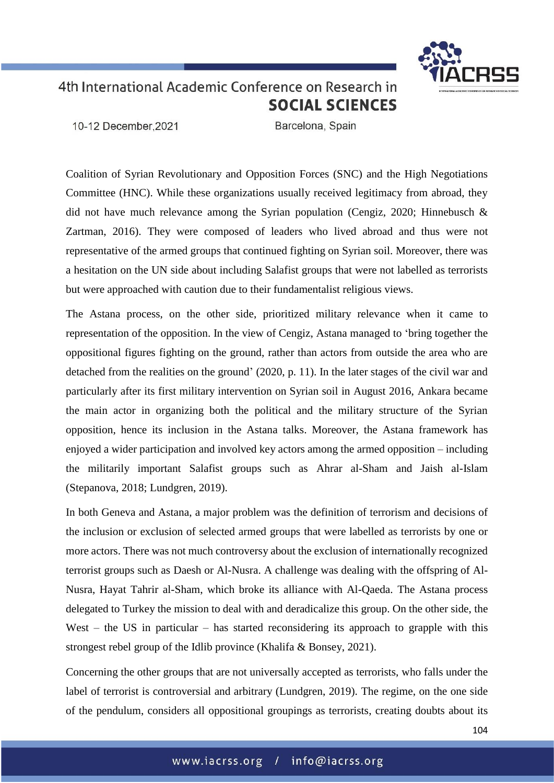10-12 December.2021

Barcelona, Spain

Coalition of Syrian Revolutionary and Opposition Forces (SNC) and the High Negotiations Committee (HNC). While these organizations usually received legitimacy from abroad, they did not have much relevance among the Syrian population (Cengiz, 2020; Hinnebusch & Zartman, 2016). They were composed of leaders who lived abroad and thus were not representative of the armed groups that continued fighting on Syrian soil. Moreover, there was a hesitation on the UN side about including Salafist groups that were not labelled as terrorists but were approached with caution due to their fundamentalist religious views.

The Astana process, on the other side, prioritized military relevance when it came to representation of the opposition. In the view of Cengiz, Astana managed to 'bring together the oppositional figures fighting on the ground, rather than actors from outside the area who are detached from the realities on the ground' (2020, p. 11). In the later stages of the civil war and particularly after its first military intervention on Syrian soil in August 2016, Ankara became the main actor in organizing both the political and the military structure of the Syrian opposition, hence its inclusion in the Astana talks. Moreover, the Astana framework has enjoyed a wider participation and involved key actors among the armed opposition – including the militarily important Salafist groups such as Ahrar al-Sham and Jaish al-Islam (Stepanova, 2018; Lundgren, 2019).

In both Geneva and Astana, a major problem was the definition of terrorism and decisions of the inclusion or exclusion of selected armed groups that were labelled as terrorists by one or more actors. There was not much controversy about the exclusion of internationally recognized terrorist groups such as Daesh or Al-Nusra. A challenge was dealing with the offspring of Al-Nusra, Hayat Tahrir al-Sham, which broke its alliance with Al-Qaeda. The Astana process delegated to Turkey the mission to deal with and deradicalize this group. On the other side, the West – the US in particular – has started reconsidering its approach to grapple with this strongest rebel group of the Idlib province (Khalifa & Bonsey, 2021).

Concerning the other groups that are not universally accepted as terrorists, who falls under the label of terrorist is controversial and arbitrary (Lundgren, 2019). The regime, on the one side of the pendulum, considers all oppositional groupings as terrorists, creating doubts about its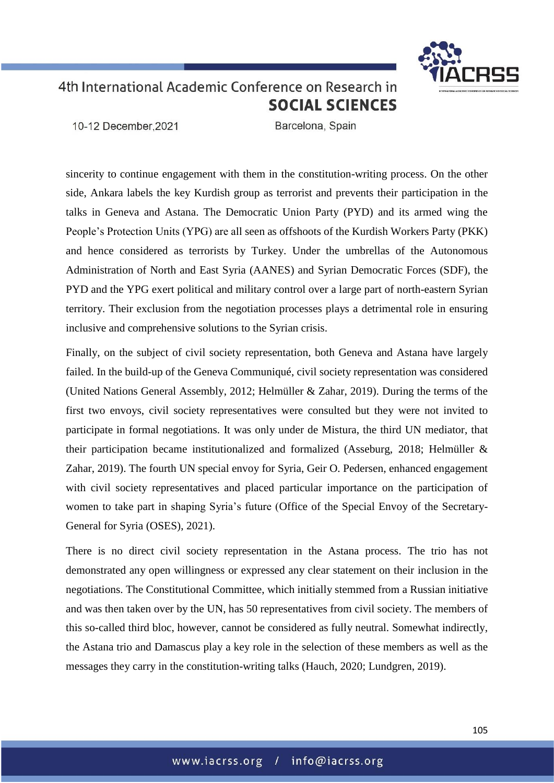10-12 December.2021

Barcelona, Spain

sincerity to continue engagement with them in the constitution-writing process. On the other side, Ankara labels the key Kurdish group as terrorist and prevents their participation in the talks in Geneva and Astana. The Democratic Union Party (PYD) and its armed wing the People's Protection Units (YPG) are all seen as offshoots of the Kurdish Workers Party (PKK) and hence considered as terrorists by Turkey. Under the umbrellas of the Autonomous Administration of North and East Syria (AANES) and Syrian Democratic Forces (SDF), the PYD and the YPG exert political and military control over a large part of north-eastern Syrian territory. Their exclusion from the negotiation processes plays a detrimental role in ensuring inclusive and comprehensive solutions to the Syrian crisis.

Finally, on the subject of civil society representation, both Geneva and Astana have largely failed. In the build-up of the Geneva Communiqué, civil society representation was considered (United Nations General Assembly, 2012; Helmüller & Zahar, 2019). During the terms of the first two envoys, civil society representatives were consulted but they were not invited to participate in formal negotiations. It was only under de Mistura, the third UN mediator, that their participation became institutionalized and formalized (Asseburg, 2018; Helmüller & Zahar, 2019). The fourth UN special envoy for Syria, Geir O. Pedersen, enhanced engagement with civil society representatives and placed particular importance on the participation of women to take part in shaping Syria's future (Office of the Special Envoy of the Secretary-General for Syria (OSES), 2021).

There is no direct civil society representation in the Astana process. The trio has not demonstrated any open willingness or expressed any clear statement on their inclusion in the negotiations. The Constitutional Committee, which initially stemmed from a Russian initiative and was then taken over by the UN, has 50 representatives from civil society. The members of this so-called third bloc, however, cannot be considered as fully neutral. Somewhat indirectly, the Astana trio and Damascus play a key role in the selection of these members as well as the messages they carry in the constitution-writing talks (Hauch, 2020; Lundgren, 2019).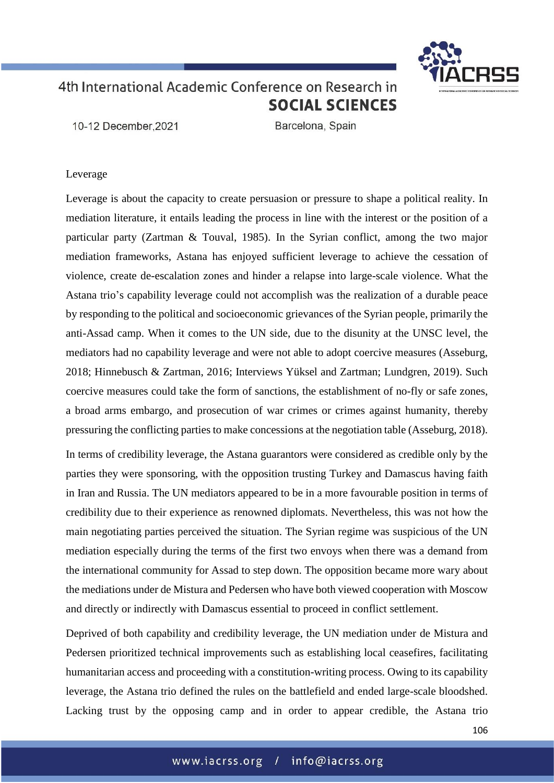10-12 December.2021

Barcelona, Spain

### Leverage

Leverage is about the capacity to create persuasion or pressure to shape a political reality. In mediation literature, it entails leading the process in line with the interest or the position of a particular party (Zartman & Touval, 1985). In the Syrian conflict, among the two major mediation frameworks, Astana has enjoyed sufficient leverage to achieve the cessation of violence, create de-escalation zones and hinder a relapse into large-scale violence. What the Astana trio's capability leverage could not accomplish was the realization of a durable peace by responding to the political and socioeconomic grievances of the Syrian people, primarily the anti-Assad camp. When it comes to the UN side, due to the disunity at the UNSC level, the mediators had no capability leverage and were not able to adopt coercive measures (Asseburg, 2018; Hinnebusch & Zartman, 2016; Interviews Yüksel and Zartman; Lundgren, 2019). Such coercive measures could take the form of sanctions, the establishment of no-fly or safe zones, a broad arms embargo, and prosecution of war crimes or crimes against humanity, thereby pressuring the conflicting parties to make concessions at the negotiation table (Asseburg, 2018).

In terms of credibility leverage, the Astana guarantors were considered as credible only by the parties they were sponsoring, with the opposition trusting Turkey and Damascus having faith in Iran and Russia. The UN mediators appeared to be in a more favourable position in terms of credibility due to their experience as renowned diplomats. Nevertheless, this was not how the main negotiating parties perceived the situation. The Syrian regime was suspicious of the UN mediation especially during the terms of the first two envoys when there was a demand from the international community for Assad to step down. The opposition became more wary about the mediations under de Mistura and Pedersen who have both viewed cooperation with Moscow and directly or indirectly with Damascus essential to proceed in conflict settlement.

Deprived of both capability and credibility leverage, the UN mediation under de Mistura and Pedersen prioritized technical improvements such as establishing local ceasefires, facilitating humanitarian access and proceeding with a constitution-writing process. Owing to its capability leverage, the Astana trio defined the rules on the battlefield and ended large-scale bloodshed. Lacking trust by the opposing camp and in order to appear credible, the Astana trio

106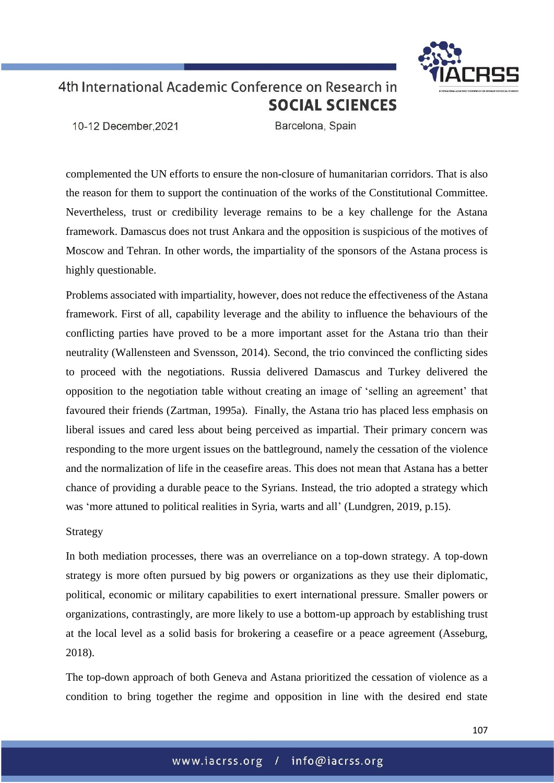

10-12 December.2021

Barcelona, Spain

complemented the UN efforts to ensure the non-closure of humanitarian corridors. That is also the reason for them to support the continuation of the works of the Constitutional Committee. Nevertheless, trust or credibility leverage remains to be a key challenge for the Astana framework. Damascus does not trust Ankara and the opposition is suspicious of the motives of Moscow and Tehran. In other words, the impartiality of the sponsors of the Astana process is highly questionable.

Problems associated with impartiality, however, does not reduce the effectiveness of the Astana framework. First of all, capability leverage and the ability to influence the behaviours of the conflicting parties have proved to be a more important asset for the Astana trio than their neutrality (Wallensteen and Svensson, 2014). Second, the trio convinced the conflicting sides to proceed with the negotiations. Russia delivered Damascus and Turkey delivered the opposition to the negotiation table without creating an image of 'selling an agreement' that favoured their friends (Zartman, 1995a). Finally, the Astana trio has placed less emphasis on liberal issues and cared less about being perceived as impartial. Their primary concern was responding to the more urgent issues on the battleground, namely the cessation of the violence and the normalization of life in the ceasefire areas. This does not mean that Astana has a better chance of providing a durable peace to the Syrians. Instead, the trio adopted a strategy which was 'more attuned to political realities in Syria, warts and all' (Lundgren, 2019, p.15).

### Strategy

In both mediation processes, there was an overreliance on a top-down strategy. A top-down strategy is more often pursued by big powers or organizations as they use their diplomatic, political, economic or military capabilities to exert international pressure. Smaller powers or organizations, contrastingly, are more likely to use a bottom-up approach by establishing trust at the local level as a solid basis for brokering a ceasefire or a peace agreement (Asseburg, 2018).

The top-down approach of both Geneva and Astana prioritized the cessation of violence as a condition to bring together the regime and opposition in line with the desired end state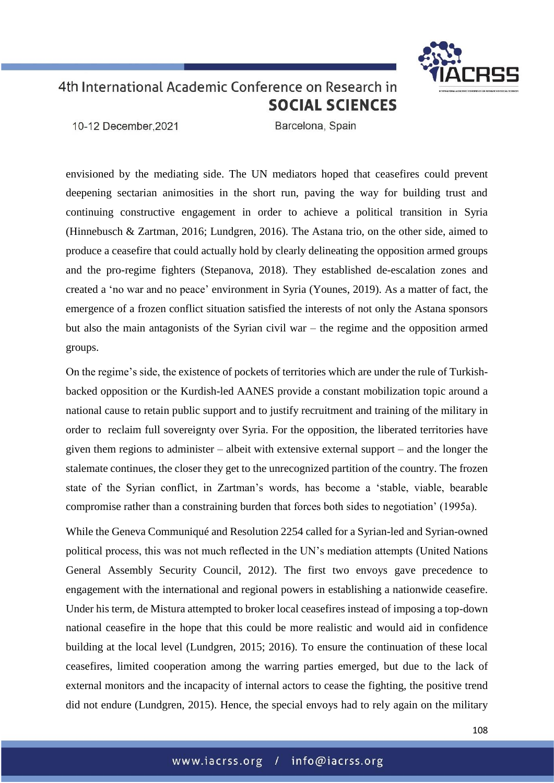

10-12 December.2021

Barcelona, Spain

envisioned by the mediating side. The UN mediators hoped that ceasefires could prevent deepening sectarian animosities in the short run, paving the way for building trust and continuing constructive engagement in order to achieve a political transition in Syria (Hinnebusch & Zartman, 2016; Lundgren, 2016). The Astana trio, on the other side, aimed to produce a ceasefire that could actually hold by clearly delineating the opposition armed groups and the pro-regime fighters (Stepanova, 2018). They established de-escalation zones and created a 'no war and no peace' environment in Syria (Younes, 2019). As a matter of fact, the emergence of a frozen conflict situation satisfied the interests of not only the Astana sponsors but also the main antagonists of the Syrian civil war – the regime and the opposition armed groups.

On the regime's side, the existence of pockets of territories which are under the rule of Turkishbacked opposition or the Kurdish-led AANES provide a constant mobilization topic around a national cause to retain public support and to justify recruitment and training of the military in order to reclaim full sovereignty over Syria. For the opposition, the liberated territories have given them regions to administer – albeit with extensive external support – and the longer the stalemate continues, the closer they get to the unrecognized partition of the country. The frozen state of the Syrian conflict, in Zartman's words, has become a 'stable, viable, bearable compromise rather than a constraining burden that forces both sides to negotiation' (1995a).

While the Geneva Communiqué and Resolution 2254 called for a Syrian-led and Syrian-owned political process, this was not much reflected in the UN's mediation attempts (United Nations General Assembly Security Council, 2012). The first two envoys gave precedence to engagement with the international and regional powers in establishing a nationwide ceasefire. Under his term, de Mistura attempted to broker local ceasefires instead of imposing a top-down national ceasefire in the hope that this could be more realistic and would aid in confidence building at the local level (Lundgren, 2015; 2016). To ensure the continuation of these local ceasefires, limited cooperation among the warring parties emerged, but due to the lack of external monitors and the incapacity of internal actors to cease the fighting, the positive trend did not endure (Lundgren, 2015). Hence, the special envoys had to rely again on the military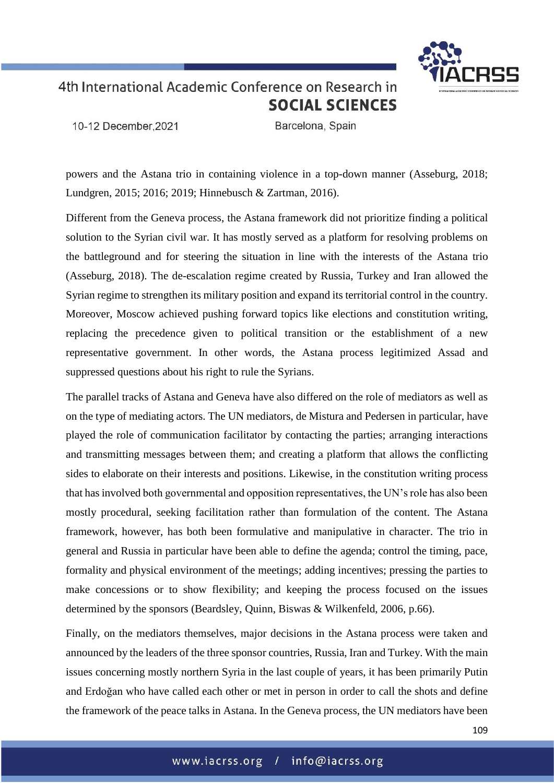

10-12 December.2021

Barcelona, Spain

powers and the Astana trio in containing violence in a top-down manner (Asseburg, 2018; Lundgren, 2015; 2016; 2019; Hinnebusch & Zartman, 2016).

Different from the Geneva process, the Astana framework did not prioritize finding a political solution to the Syrian civil war. It has mostly served as a platform for resolving problems on the battleground and for steering the situation in line with the interests of the Astana trio (Asseburg, 2018). The de-escalation regime created by Russia, Turkey and Iran allowed the Syrian regime to strengthen its military position and expand its territorial control in the country. Moreover, Moscow achieved pushing forward topics like elections and constitution writing, replacing the precedence given to political transition or the establishment of a new representative government. In other words, the Astana process legitimized Assad and suppressed questions about his right to rule the Syrians.

The parallel tracks of Astana and Geneva have also differed on the role of mediators as well as on the type of mediating actors. The UN mediators, de Mistura and Pedersen in particular, have played the role of communication facilitator by contacting the parties; arranging interactions and transmitting messages between them; and creating a platform that allows the conflicting sides to elaborate on their interests and positions. Likewise, in the constitution writing process that hasinvolved both governmental and opposition representatives, the UN's role has also been mostly procedural, seeking facilitation rather than formulation of the content. The Astana framework, however, has both been formulative and manipulative in character. The trio in general and Russia in particular have been able to define the agenda; control the timing, pace, formality and physical environment of the meetings; adding incentives; pressing the parties to make concessions or to show flexibility; and keeping the process focused on the issues determined by the sponsors (Beardsley, Quinn, Biswas & Wilkenfeld, 2006, p.66).

Finally, on the mediators themselves, major decisions in the Astana process were taken and announced by the leaders of the three sponsor countries, Russia, Iran and Turkey. With the main issues concerning mostly northern Syria in the last couple of years, it has been primarily Putin and Erdoğan who have called each other or met in person in order to call the shots and define the framework of the peace talks in Astana. In the Geneva process, the UN mediators have been

109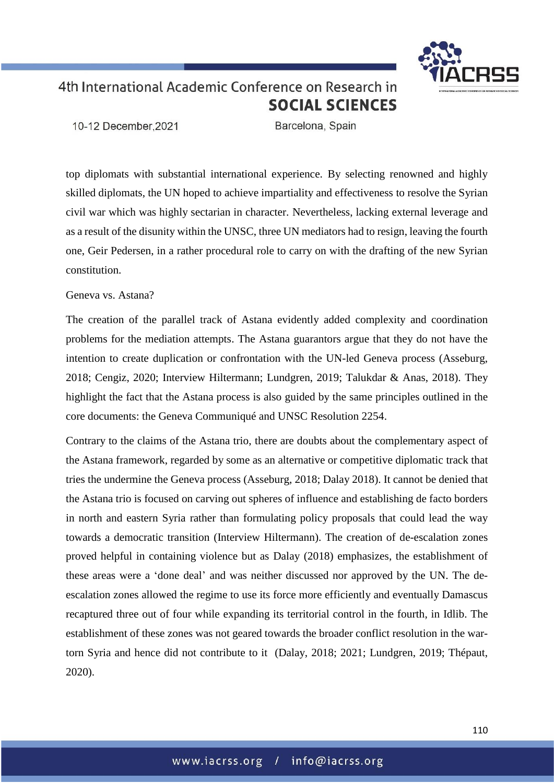

10-12 December.2021

Barcelona, Spain

top diplomats with substantial international experience. By selecting renowned and highly skilled diplomats, the UN hoped to achieve impartiality and effectiveness to resolve the Syrian civil war which was highly sectarian in character. Nevertheless, lacking external leverage and as a result of the disunity within the UNSC, three UN mediators had to resign, leaving the fourth one, Geir Pedersen, in a rather procedural role to carry on with the drafting of the new Syrian constitution.

### Geneva vs. Astana?

The creation of the parallel track of Astana evidently added complexity and coordination problems for the mediation attempts. The Astana guarantors argue that they do not have the intention to create duplication or confrontation with the UN-led Geneva process (Asseburg, 2018; Cengiz, 2020; Interview Hiltermann; Lundgren, 2019; Talukdar & Anas, 2018). They highlight the fact that the Astana process is also guided by the same principles outlined in the core documents: the Geneva Communiqué and UNSC Resolution 2254.

Contrary to the claims of the Astana trio, there are doubts about the complementary aspect of the Astana framework, regarded by some as an alternative or competitive diplomatic track that tries the undermine the Geneva process (Asseburg, 2018; Dalay 2018). It cannot be denied that the Astana trio is focused on carving out spheres of influence and establishing de facto borders in north and eastern Syria rather than formulating policy proposals that could lead the way towards a democratic transition (Interview Hiltermann). The creation of de-escalation zones proved helpful in containing violence but as Dalay (2018) emphasizes, the establishment of these areas were a 'done deal' and was neither discussed nor approved by the UN. The deescalation zones allowed the regime to use its force more efficiently and eventually Damascus recaptured three out of four while expanding its territorial control in the fourth, in Idlib. The establishment of these zones was not geared towards the broader conflict resolution in the wartorn Syria and hence did not contribute to it (Dalay, 2018; 2021; Lundgren, 2019; Thépaut, 2020).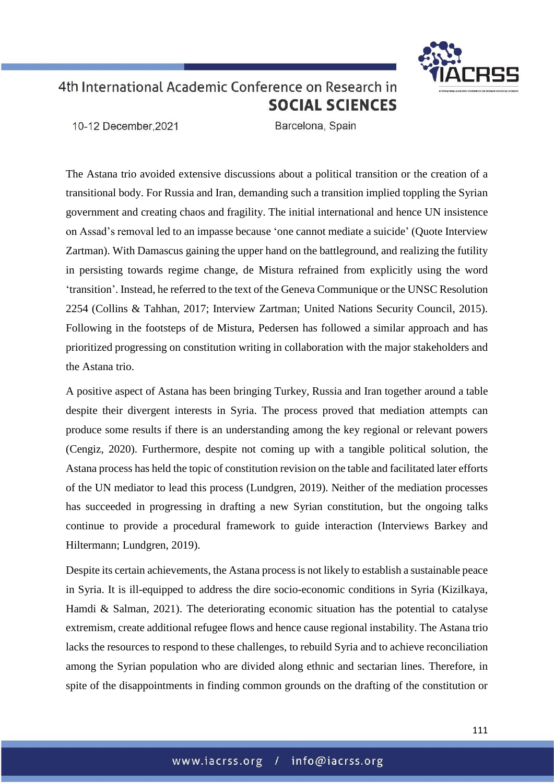

10-12 December.2021

Barcelona, Spain

The Astana trio avoided extensive discussions about a political transition or the creation of a transitional body. For Russia and Iran, demanding such a transition implied toppling the Syrian government and creating chaos and fragility. The initial international and hence UN insistence on Assad's removal led to an impasse because 'one cannot mediate a suicide' (Quote Interview Zartman). With Damascus gaining the upper hand on the battleground, and realizing the futility in persisting towards regime change, de Mistura refrained from explicitly using the word 'transition'. Instead, he referred to the text of the Geneva Communique or the UNSC Resolution 2254 (Collins & Tahhan, 2017; Interview Zartman; United Nations Security Council, 2015). Following in the footsteps of de Mistura, Pedersen has followed a similar approach and has prioritized progressing on constitution writing in collaboration with the major stakeholders and the Astana trio.

A positive aspect of Astana has been bringing Turkey, Russia and Iran together around a table despite their divergent interests in Syria. The process proved that mediation attempts can produce some results if there is an understanding among the key regional or relevant powers (Cengiz, 2020). Furthermore, despite not coming up with a tangible political solution, the Astana process has held the topic of constitution revision on the table and facilitated later efforts of the UN mediator to lead this process (Lundgren, 2019). Neither of the mediation processes has succeeded in progressing in drafting a new Syrian constitution, but the ongoing talks continue to provide a procedural framework to guide interaction (Interviews Barkey and Hiltermann; Lundgren, 2019).

Despite its certain achievements, the Astana process is not likely to establish a sustainable peace in Syria. It is ill-equipped to address the dire socio-economic conditions in Syria (Kizilkaya, Hamdi & Salman, 2021). The deteriorating economic situation has the potential to catalyse extremism, create additional refugee flows and hence cause regional instability. The Astana trio lacks the resources to respond to these challenges, to rebuild Syria and to achieve reconciliation among the Syrian population who are divided along ethnic and sectarian lines. Therefore, in spite of the disappointments in finding common grounds on the drafting of the constitution or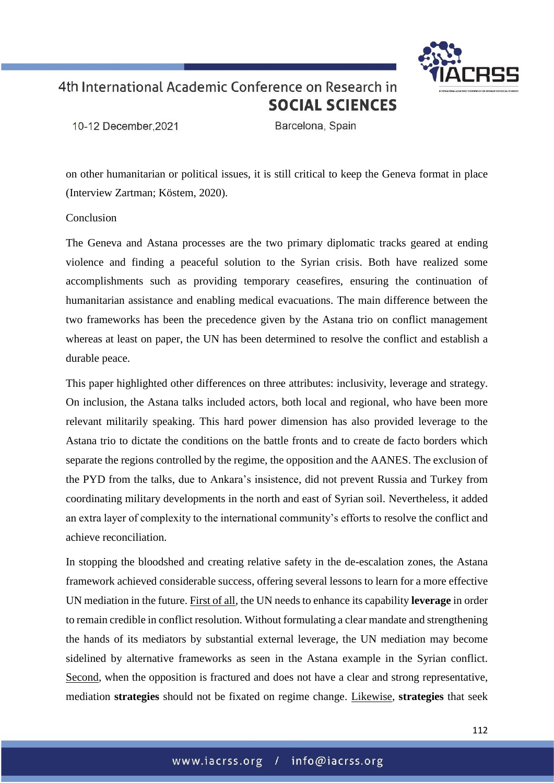

10-12 December.2021

Barcelona, Spain

on other humanitarian or political issues, it is still critical to keep the Geneva format in place (Interview Zartman; Köstem, 2020).

### Conclusion

The Geneva and Astana processes are the two primary diplomatic tracks geared at ending violence and finding a peaceful solution to the Syrian crisis. Both have realized some accomplishments such as providing temporary ceasefires, ensuring the continuation of humanitarian assistance and enabling medical evacuations. The main difference between the two frameworks has been the precedence given by the Astana trio on conflict management whereas at least on paper, the UN has been determined to resolve the conflict and establish a durable peace.

This paper highlighted other differences on three attributes: inclusivity, leverage and strategy. On inclusion, the Astana talks included actors, both local and regional, who have been more relevant militarily speaking. This hard power dimension has also provided leverage to the Astana trio to dictate the conditions on the battle fronts and to create de facto borders which separate the regions controlled by the regime, the opposition and the AANES. The exclusion of the PYD from the talks, due to Ankara's insistence, did not prevent Russia and Turkey from coordinating military developments in the north and east of Syrian soil. Nevertheless, it added an extra layer of complexity to the international community's efforts to resolve the conflict and achieve reconciliation.

In stopping the bloodshed and creating relative safety in the de-escalation zones, the Astana framework achieved considerable success, offering several lessons to learn for a more effective UN mediation in the future. First of all, the UN needs to enhance its capability **leverage** in order to remain credible in conflict resolution. Without formulating a clear mandate and strengthening the hands of its mediators by substantial external leverage, the UN mediation may become sidelined by alternative frameworks as seen in the Astana example in the Syrian conflict. Second, when the opposition is fractured and does not have a clear and strong representative, mediation **strategies** should not be fixated on regime change. Likewise, **strategies** that seek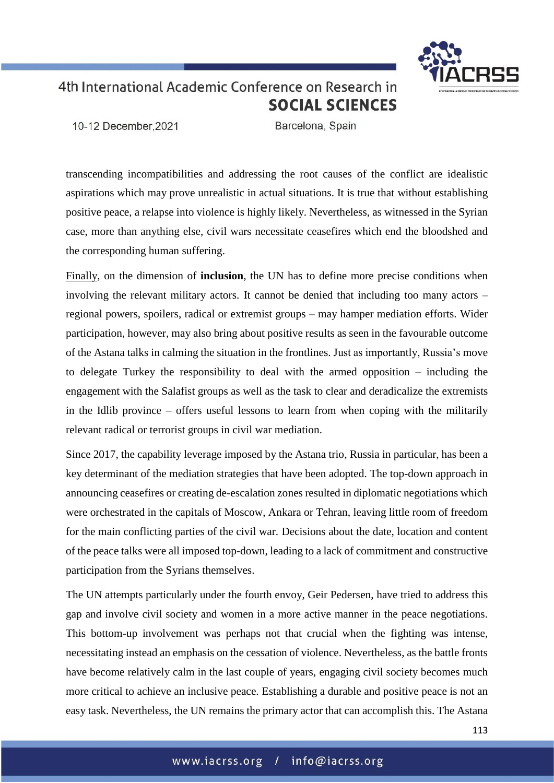

10-12 December.2021

Barcelona, Spain

transcending incompatibilities and addressing the root causes of the conflict are idealistic aspirations which may prove unrealistic in actual situations. It is true that without establishing positive peace, a relapse into violence is highly likely. Nevertheless, as witnessed in the Syrian case, more than anything else, civil wars necessitate ceasefires which end the bloodshed and the corresponding human suffering.

Finally, on the dimension of **inclusion**, the UN has to define more precise conditions when involving the relevant military actors. It cannot be denied that including too many actors – regional powers, spoilers, radical or extremist groups – may hamper mediation efforts. Wider participation, however, may also bring about positive results as seen in the favourable outcome of the Astana talks in calming the situation in the frontlines. Just as importantly, Russia's move to delegate Turkey the responsibility to deal with the armed opposition – including the engagement with the Salafist groups as well as the task to clear and deradicalize the extremists in the Idlib province – offers useful lessons to learn from when coping with the militarily relevant radical or terrorist groups in civil war mediation.

Since 2017, the capability leverage imposed by the Astana trio, Russia in particular, has been a key determinant of the mediation strategies that have been adopted. The top-down approach in announcing ceasefires or creating de-escalation zones resulted in diplomatic negotiations which were orchestrated in the capitals of Moscow, Ankara or Tehran, leaving little room of freedom for the main conflicting parties of the civil war. Decisions about the date, location and content of the peace talks were all imposed top-down, leading to a lack of commitment and constructive participation from the Syrians themselves.

The UN attempts particularly under the fourth envoy, Geir Pedersen, have tried to address this gap and involve civil society and women in a more active manner in the peace negotiations. This bottom-up involvement was perhaps not that crucial when the fighting was intense, necessitating instead an emphasis on the cessation of violence. Nevertheless, as the battle fronts have become relatively calm in the last couple of years, engaging civil society becomes much more critical to achieve an inclusive peace. Establishing a durable and positive peace is not an easy task. Nevertheless, the UN remains the primary actor that can accomplish this. The Astana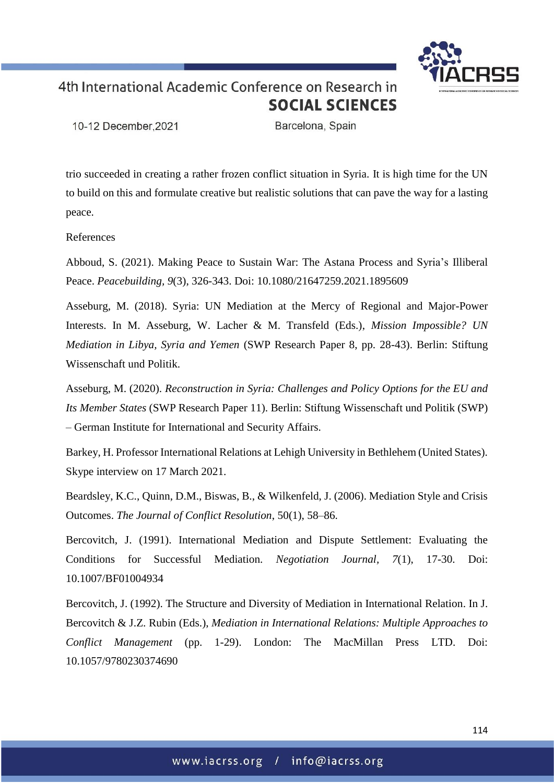

10-12 December.2021

Barcelona, Spain

trio succeeded in creating a rather frozen conflict situation in Syria. It is high time for the UN to build on this and formulate creative but realistic solutions that can pave the way for a lasting peace.

References

Abboud, S. (2021). Making Peace to Sustain War: The Astana Process and Syria's Illiberal Peace. *Peacebuilding, 9*(3), 326-343. Doi: 10.1080/21647259.2021.1895609

Asseburg, M. (2018). Syria: UN Mediation at the Mercy of Regional and Major-Power Interests. In M. Asseburg, W. Lacher & M. Transfeld (Eds.), *Mission Impossible? UN Mediation in Libya, Syria and Yemen* (SWP Research Paper 8, pp. 28-43). Berlin: Stiftung Wissenschaft und Politik.

Asseburg, M. (2020). *Reconstruction in Syria: Challenges and Policy Options for the EU and Its Member States* (SWP Research Paper 11). Berlin: Stiftung Wissenschaft und Politik (SWP) – German Institute for International and Security Affairs.

Barkey, H. Professor International Relations at Lehigh University in Bethlehem (United States). Skype interview on 17 March 2021.

Beardsley, K.C., Quinn, D.M., Biswas, B., & Wilkenfeld, J. (2006). Mediation Style and Crisis Outcomes. *The Journal of Conflict Resolution*, 50(1), 58–86.

Bercovitch, J. (1991). International Mediation and Dispute Settlement: Evaluating the Conditions for Successful Mediation. *Negotiation Journal, 7*(1), 17-30. Doi: 10.1007/BF01004934

Bercovitch, J. (1992). The Structure and Diversity of Mediation in International Relation. In J. Bercovitch & J.Z. Rubin (Eds.), *Mediation in International Relations: Multiple Approaches to Conflict Management* (pp. 1-29). London: The MacMillan Press LTD. Doi: 10.1057/9780230374690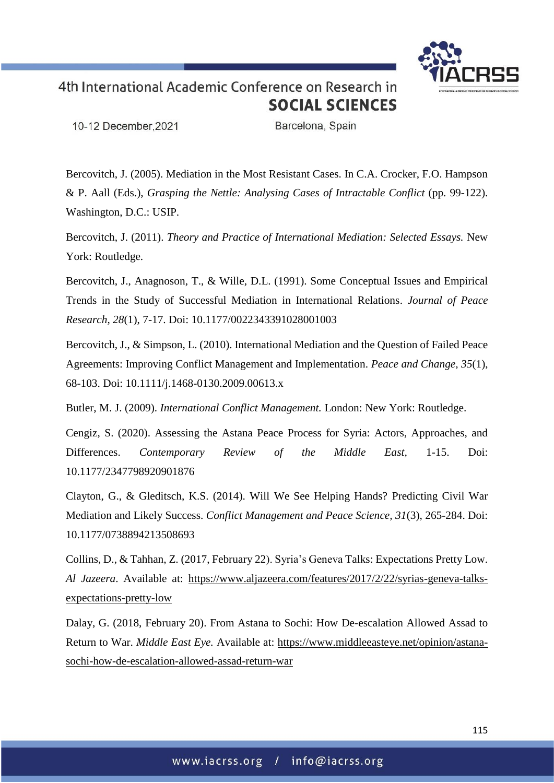

10-12 December, 2021

Barcelona, Spain

Bercovitch, J. (2005). Mediation in the Most Resistant Cases. In C.A. Crocker, F.O. Hampson & P. Aall (Eds.), *Grasping the Nettle: Analysing Cases of Intractable Conflict* (pp. 99-122). Washington, D.C.: USIP.

Bercovitch, J. (2011). *Theory and Practice of International Mediation: Selected Essays.* New York: Routledge.

Bercovitch, J., Anagnoson, T., & Wille, D.L. (1991). Some Conceptual Issues and Empirical Trends in the Study of Successful Mediation in International Relations. *Journal of Peace Research, 28*(1), 7-17. Doi: 10.1177/0022343391028001003

Bercovitch, J., & Simpson, L. (2010). International Mediation and the Question of Failed Peace Agreements: Improving Conflict Management and Implementation. *Peace and Change, 35*(1), 68-103. Doi: 10.1111/j.1468-0130.2009.00613.x

Butler, M. J. (2009). *International Conflict Management.* London: New York: Routledge.

Cengiz, S. (2020). Assessing the Astana Peace Process for Syria: Actors, Approaches, and Differences. *Contemporary Review of the Middle East,* 1-15. Doi: 10.1177/2347798920901876

Clayton, G., & Gleditsch, K.S. (2014). Will We See Helping Hands? Predicting Civil War Mediation and Likely Success. *Conflict Management and Peace Science, 31*(3), 265-284. Doi: 10.1177/0738894213508693

Collins, D., & Tahhan, Z. (2017, February 22). Syria's Geneva Talks: Expectations Pretty Low. *Al Jazeera*. Available at: [https://www.aljazeera.com/features/2017/2/22/syrias-geneva-talks](https://www.aljazeera.com/features/2017/2/22/syrias-geneva-talks-expectations-pretty-low)[expectations-pretty-low](https://www.aljazeera.com/features/2017/2/22/syrias-geneva-talks-expectations-pretty-low)

Dalay, G. (2018, February 20). From Astana to Sochi: How De-escalation Allowed Assad to Return to War. *Middle East Eye.* Available at: [https://www.middleeasteye.net/opinion/astana](https://www.middleeasteye.net/opinion/astana-sochi-how-de-escalation-allowed-assad-return-war)[sochi-how-de-escalation-allowed-assad-return-war](https://www.middleeasteye.net/opinion/astana-sochi-how-de-escalation-allowed-assad-return-war)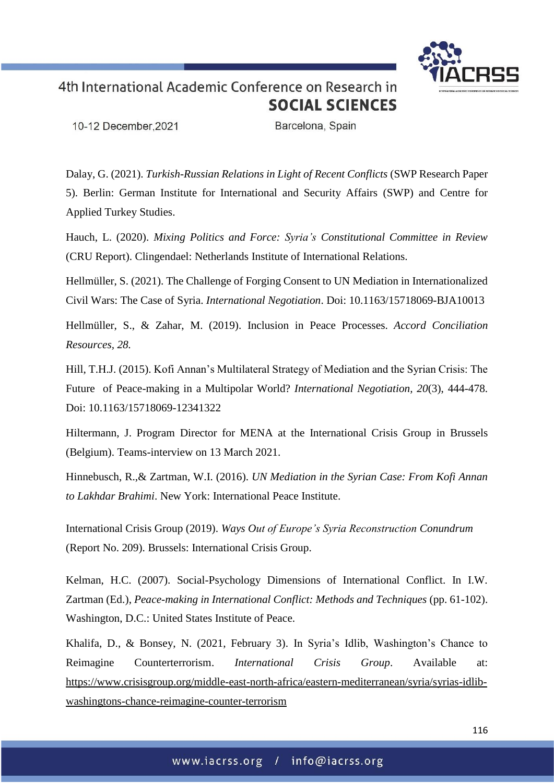

10-12 December.2021

Barcelona, Spain

Dalay, G. (2021). *Turkish-Russian Relations in Light of Recent Conflicts* (SWP Research Paper 5). Berlin: German Institute for International and Security Affairs (SWP) and Centre for Applied Turkey Studies.

Hauch, L. (2020). *Mixing Politics and Force: Syria's Constitutional Committee in Review* (CRU Report). Clingendael: Netherlands Institute of International Relations.

Hellmüller, S. (2021). The Challenge of Forging Consent to UN Mediation in Internationalized Civil Wars: The Case of Syria. *International Negotiation*. Doi: [10.1163/15718069-BJA10013](file:///C:/Users/zkizilkaya/Downloads/10.1163/15718069-BJA10013)

Hellmüller, S., & Zahar, M. (2019). Inclusion in Peace Processes. *Accord Conciliation Resources, 28.*

Hill, T.H.J. (2015). Kofi Annan's Multilateral Strategy of Mediation and the Syrian Crisis: The Future of Peace-making in a Multipolar World? *International Negotiation, 20*(3), 444-478. Doi: 10.1163/15718069-12341322

Hiltermann, J. Program Director for MENA at the International Crisis Group in Brussels (Belgium). Teams-interview on 13 March 2021.

Hinnebusch, R.,& Zartman, W.I. (2016). *UN Mediation in the Syrian Case: From Kofi Annan to Lakhdar Brahimi*. New York: International Peace Institute.

International Crisis Group (2019). *Ways Out of Europe's Syria Reconstruction Conundrum* (Report No. 209). Brussels: International Crisis Group.

Kelman, H.C. (2007). Social-Psychology Dimensions of International Conflict. In I.W. Zartman (Ed.), *Peace-making in International Conflict: Methods and Techniques* (pp. 61-102). Washington, D.C.: United States Institute of Peace.

Khalifa, D., & Bonsey, N. (2021, February 3). In Syria's Idlib, Washington's Chance to Reimagine Counterterrorism. *International Crisis Group*. Available at: [https://www.crisisgroup.org/middle-east-north-africa/eastern-mediterranean/syria/syrias-idlib](https://www.crisisgroup.org/middle-east-north-africa/eastern-mediterranean/syria/syrias-idlib-washingtons-chance-reimagine-counter-terrorism)[washingtons-chance-reimagine-counter-terrorism](https://www.crisisgroup.org/middle-east-north-africa/eastern-mediterranean/syria/syrias-idlib-washingtons-chance-reimagine-counter-terrorism)

116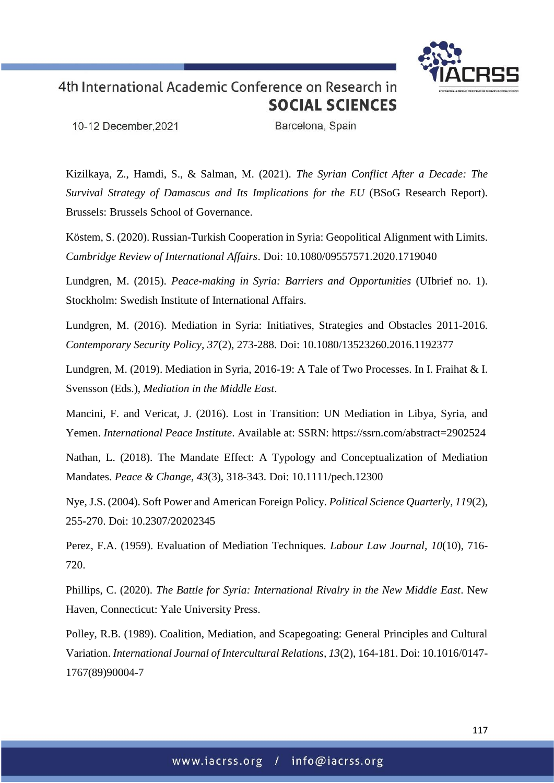

10-12 December, 2021

Barcelona, Spain

Kizilkaya, Z., Hamdi, S., & Salman, M. (2021). *The Syrian Conflict After a Decade: The Survival Strategy of Damascus and Its Implications for the EU* (BSoG Research Report). Brussels: Brussels School of Governance.

Köstem, S. (2020). Russian-Turkish Cooperation in Syria: Geopolitical Alignment with Limits. *Cambridge Review of International Affairs*. Doi: 10.1080/09557571.2020.1719040

Lundgren, M. (2015). *Peace-making in Syria: Barriers and Opportunities* (UIbrief no. 1). Stockholm: Swedish Institute of International Affairs.

Lundgren, M. (2016). Mediation in Syria: Initiatives, Strategies and Obstacles 2011-2016. *Contemporary Security Policy, 37*(2), 273-288. Doi: 10.1080/13523260.2016.1192377

Lundgren, M. (2019). Mediation in Syria, 2016-19: A Tale of Two Processes. In I. Fraihat & I. Svensson (Eds.), *Mediation in the Middle East*.

Mancini, F. and Vericat, J. (2016). Lost in Transition: UN Mediation in Libya, Syria, and Yemen. *International Peace Institute*. Available at: SSRN: https://ssrn.com/abstract=2902524

Nathan, L. (2018). The Mandate Effect: A Typology and Conceptualization of Mediation Mandates. *Peace & Change, 43*(3), 318-343. Doi: 10.1111/pech.12300

Nye, J.S. (2004). Soft Power and American Foreign Policy. *Political Science Quarterly, 119*(2), 255-270. Doi: 10.2307/20202345

Perez, F.A. (1959). Evaluation of Mediation Techniques. *Labour Law Journal, 10*(10), 716- 720.

Phillips, C. (2020). *The Battle for Syria: International Rivalry in the New Middle East*. New Haven, Connecticut: Yale University Press.

Polley, R.B. (1989). Coalition, Mediation, and Scapegoating: General Principles and Cultural Variation. *International Journal of Intercultural Relations, 13*(2), 164-181. Doi: 10.1016/0147- 1767(89)90004-7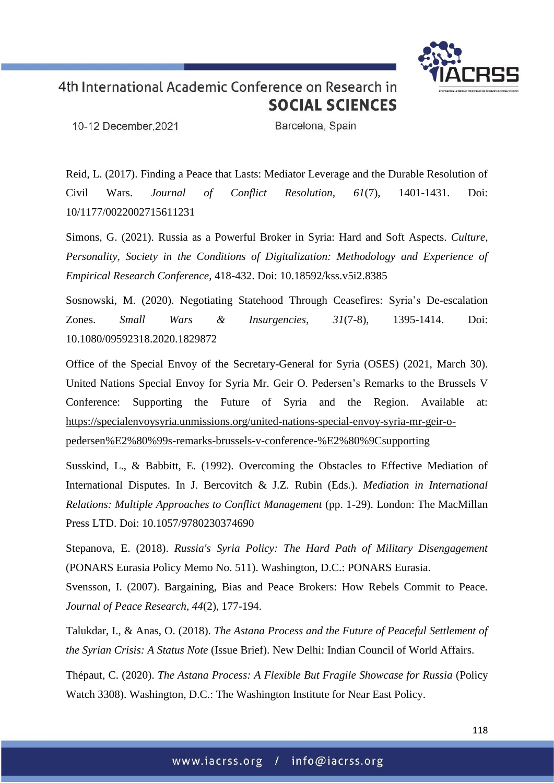

10-12 December, 2021

Barcelona, Spain

Reid, L. (2017). Finding a Peace that Lasts: Mediator Leverage and the Durable Resolution of Civil Wars. *Journal of Conflict Resolution, 61*(7), 1401-1431. Doi: 10/1177/0022002715611231

Simons, G. (2021). Russia as a Powerful Broker in Syria: Hard and Soft Aspects. *Culture, Personality, Society in the Conditions of Digitalization: Methodology and Experience of Empirical Research Conference*, 418-432. Doi: 10.18592/kss.v5i2.8385

Sosnowski, M. (2020). Negotiating Statehood Through Ceasefires: Syria's De-escalation Zones. *Small Wars & Insurgencies*, *31*(7-8), 1395-1414. Doi: 10.1080/09592318.2020.1829872

Office of the Special Envoy of the Secretary-General for Syria (OSES) (2021, March 30). United Nations Special Envoy for Syria Mr. Geir O. Pedersen's Remarks to the Brussels V Conference: Supporting the Future of Syria and the Region. Available at: [https://specialenvoysyria.unmissions.org/united-nations-special-envoy-syria-mr-geir-o](https://specialenvoysyria.unmissions.org/united-nations-special-envoy-syria-mr-geir-o-pedersen%E2%80%99s-remarks-brussels-v-conference-%E2%80%9Csupporting)[pedersen%E2%80%99s-remarks-brussels-v-conference-%E2%80%9Csupporting](https://specialenvoysyria.unmissions.org/united-nations-special-envoy-syria-mr-geir-o-pedersen%E2%80%99s-remarks-brussels-v-conference-%E2%80%9Csupporting)

Susskind, L., & Babbitt, E. (1992). Overcoming the Obstacles to Effective Mediation of International Disputes. In J. Bercovitch & J.Z. Rubin (Eds.). *Mediation in International Relations: Multiple Approaches to Conflict Management* (pp. 1-29). London: The MacMillan Press LTD. Doi: 10.1057/9780230374690

Stepanova, E. (2018). *Russia's Syria Policy: The Hard Path of Military Disengagement* (PONARS Eurasia Policy Memo No. 511). Washington, D.C.: PONARS Eurasia.

Svensson, I. (2007). Bargaining, Bias and Peace Brokers: How Rebels Commit to Peace. *Journal of Peace Research, 44*(2), 177-194.

Talukdar, I., & Anas, O. (2018). *The Astana Process and the Future of Peaceful Settlement of the Syrian Crisis: A Status Note* (Issue Brief). New Delhi: Indian Council of World Affairs.

Thépaut, C. (2020). *The Astana Process: A Flexible But Fragile Showcase for Russia* (Policy Watch 3308). Washington, D.C.: The Washington Institute for Near East Policy.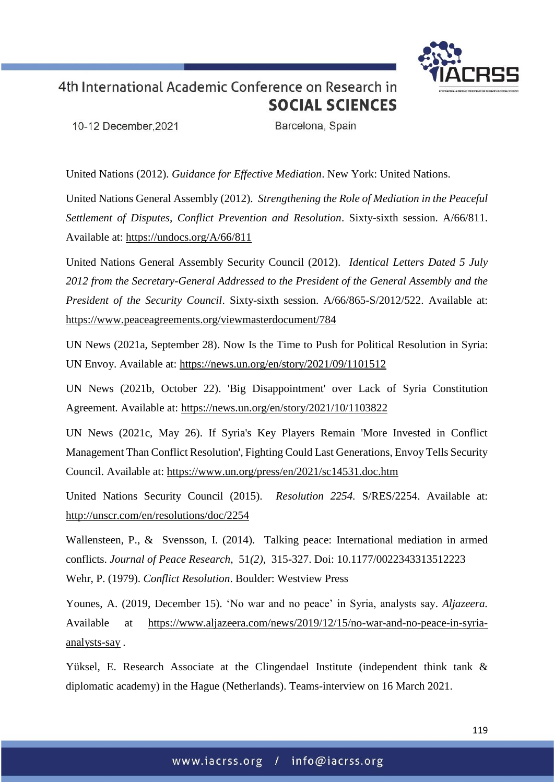

10-12 December.2021

Barcelona, Spain

United Nations (2012). *Guidance for Effective Mediation*. New York: United Nations.

United Nations General Assembly (2012). *Strengthening the Role of Mediation in the Peaceful Settlement of Disputes, Conflict Prevention and Resolution*. Sixty-sixth session. A/66/811. Available at: <https://undocs.org/A/66/811>

United Nations General Assembly Security Council (2012). *Identical Letters Dated 5 July 2012 from the Secretary-General Addressed to the President of the General Assembly and the President of the Security Council*. Sixty-sixth session. A/66/865-S/2012/522. Available at: <https://www.peaceagreements.org/viewmasterdocument/784>

UN News (2021a, September 28). Now Is the Time to Push for Political Resolution in Syria: UN Envoy. Available at: <https://news.un.org/en/story/2021/09/1101512>

UN News (2021b, October 22). 'Big Disappointment' over Lack of Syria Constitution Agreement*.* Available at: <https://news.un.org/en/story/2021/10/1103822>

UN News (2021c, May 26). If Syria's Key Players Remain 'More Invested in Conflict Management Than Conflict Resolution', Fighting Could Last Generations, Envoy Tells Security Council. Available at: <https://www.un.org/press/en/2021/sc14531.doc.htm>

United Nations Security Council (2015). *Resolution 2254.* S/RES/2254. Available at: <http://unscr.com/en/resolutions/doc/2254>

Wallensteen, P., & Svensson, I. (2014). Talking peace: International mediation in armed conflicts. *Journal of Peace Research*, 51*(2)*, 315-327. Doi: 10.1177/0022343313512223 Wehr, P. (1979). *Conflict Resolution*. Boulder: Westview Press

Younes, A. (2019, December 15). 'No war and no peace' in Syria, analysts say. *Aljazeera.*  Available at [https://www.aljazeera.com/news/2019/12/15/no-war-and-no-peace-in-syria](https://www.aljazeera.com/news/2019/12/15/no-war-and-no-peace-in-syria-analysts-say)[analysts-say](https://www.aljazeera.com/news/2019/12/15/no-war-and-no-peace-in-syria-analysts-say) *.*

Yüksel, E. Research Associate at the Clingendael Institute (independent think tank & diplomatic academy) in the Hague (Netherlands). Teams-interview on 16 March 2021.